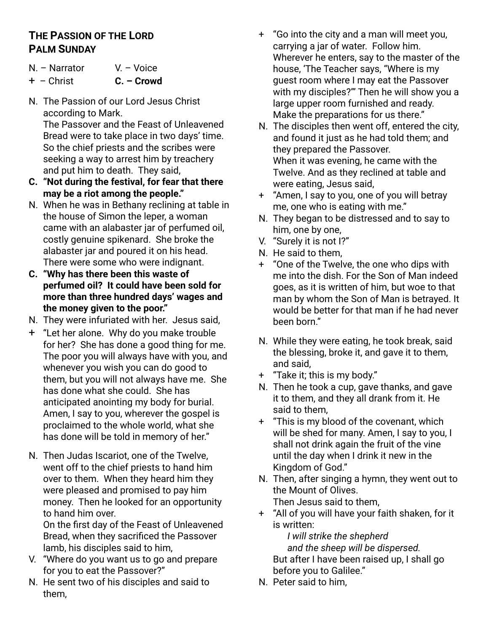## **THE PASSION OF THE LORD PALM SUNDAY**

- N. Narrator V. Voice
- + Christ **C. Crowd**
- N. The Passion of our Lord Jesus Christ according to Mark. The Passover and the Feast of Unleavened

Bread were to take place in two days' time. So the chief priests and the scribes were seeking a way to arrest him by treachery and put him to death. They said,

- **C. "Not during the festival, for fear that there may be a riot among the people."**
- N. When he was in Bethany reclining at table in the house of Simon the leper, a woman came with an alabaster jar of perfumed oil, costly genuine spikenard. She broke the alabaster jar and poured it on his head. There were some who were indignant.
- **C. "Why has there been this waste of perfumed oil? It could have been sold for more than three hundred days' wages and the money given to the poor."**
- N. They were infuriated with her. Jesus said,
- + "Let her alone. Why do you make trouble for her? She has done a good thing for me. The poor you will always have with you, and whenever you wish you can do good to them, but you will not always have me. She has done what she could. She has anticipated anointing my body for burial. Amen, I say to you, wherever the gospel is proclaimed to the whole world, what she has done will be told in memory of her."
- N. Then Judas Iscariot, one of the Twelve, went off to the chief priests to hand him over to them. When they heard him they were pleased and promised to pay him money. Then he looked for an opportunity to hand him over.

On the first day of the Feast of Unleavened Bread, when they sacrificed the Passover lamb, his disciples said to him,

- V. "Where do you want us to go and prepare for you to eat the Passover?"
- N. He sent two of his disciples and said to them,
- + "Go into the city and a man will meet you, carrying a jar of water. Follow him. Wherever he enters, say to the master of the house, 'The Teacher says, "Where is my guest room where I may eat the Passover with my disciples?"' Then he will show you a large upper room furnished and ready. Make the preparations for us there."
- N. The disciples then went off, entered the city, and found it just as he had told them; and they prepared the Passover. When it was evening, he came with the Twelve. And as they reclined at table and were eating, Jesus said,
- + "Amen, I say to you, one of you will betray me, one who is eating with me."
- N. They began to be distressed and to say to him, one by one,
- V. "Surely it is not I?"
- N. He said to them,
- + "One of the Twelve, the one who dips with me into the dish. For the Son of Man indeed goes, as it is written of him, but woe to that man by whom the Son of Man is betrayed. It would be better for that man if he had never been born."
- N. While they were eating, he took break, said the blessing, broke it, and gave it to them, and said,
- + "Take it; this is my body."
- N. Then he took a cup, gave thanks, and gave it to them, and they all drank from it. He said to them,
- + "This is my blood of the covenant, which will be shed for many. Amen, I say to you, I shall not drink again the fruit of the vine until the day when I drink it new in the Kingdom of God."
- N. Then, after singing a hymn, they went out to the Mount of Olives. Then Jesus said to them,
- + "All of you will have your faith shaken, for it is written:

*I will strike the shepherd and the sheep will be dispersed.* But after I have been raised up, I shall go before you to Galilee."

N. Peter said to him,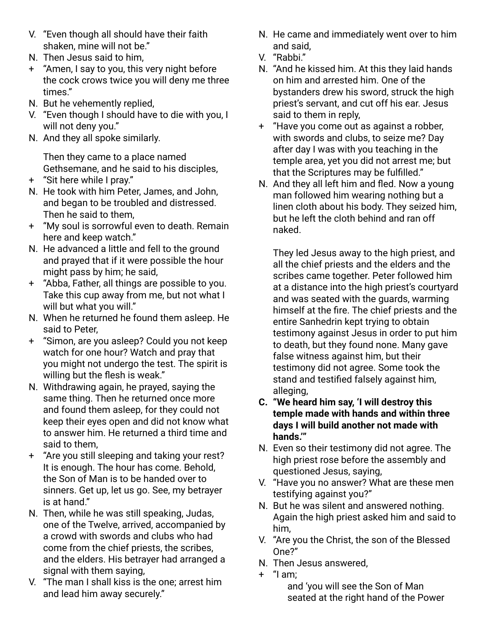- V. "Even though all should have their faith shaken, mine will not be."
- N. Then Jesus said to him,
- + "Amen, I say to you, this very night before the cock crows twice you will deny me three times."
- N. But he vehemently replied,
- V. "Even though I should have to die with you, I will not deny you."
- N. And they all spoke similarly.

Then they came to a place named Gethsemane, and he said to his disciples,

- + "Sit here while I pray."
- N. He took with him Peter, James, and John, and began to be troubled and distressed. Then he said to them,
- + "My soul is sorrowful even to death. Remain here and keep watch."
- N. He advanced a little and fell to the ground and prayed that if it were possible the hour might pass by him; he said,
- + "Abba, Father, all things are possible to you. Take this cup away from me, but not what I will but what you will."
- N. When he returned he found them asleep. He said to Peter,
- + "Simon, are you asleep? Could you not keep watch for one hour? Watch and pray that you might not undergo the test. The spirit is willing but the flesh is weak."
- N. Withdrawing again, he prayed, saying the same thing. Then he returned once more and found them asleep, for they could not keep their eyes open and did not know what to answer him. He returned a third time and said to them,
- + "Are you still sleeping and taking your rest? It is enough. The hour has come. Behold, the Son of Man is to be handed over to sinners. Get up, let us go. See, my betrayer is at hand."
- N. Then, while he was still speaking, Judas, one of the Twelve, arrived, accompanied by a crowd with swords and clubs who had come from the chief priests, the scribes, and the elders. His betrayer had arranged a signal with them saying,
- V. "The man I shall kiss is the one; arrest him and lead him away securely."
- N. He came and immediately went over to him and said,
- V. "Rabbi."
- N. "And he kissed him. At this they laid hands on him and arrested him. One of the bystanders drew his sword, struck the high priest's servant, and cut off his ear. Jesus said to them in reply,
- + "Have you come out as against a robber, with swords and clubs, to seize me? Day after day I was with you teaching in the temple area, yet you did not arrest me; but that the Scriptures may be fulfilled."
- N. And they all left him and fled. Now a young man followed him wearing nothing but a linen cloth about his body. They seized him, but he left the cloth behind and ran off naked.

They led Jesus away to the high priest, and all the chief priests and the elders and the scribes came together. Peter followed him at a distance into the high priest's courtyard and was seated with the guards, warming himself at the fire. The chief priests and the entire Sanhedrin kept trying to obtain testimony against Jesus in order to put him to death, but they found none. Many gave false witness against him, but their testimony did not agree. Some took the stand and testified falsely against him, alleging,

- **C. "We heard him say, 'I will destroy this temple made with hands and within three days I will build another not made with hands.'"**
- N. Even so their testimony did not agree. The high priest rose before the assembly and questioned Jesus, saying,
- V. "Have you no answer? What are these men testifying against you?"
- N. But he was silent and answered nothing. Again the high priest asked him and said to him,
- V. "Are you the Christ, the son of the Blessed One?"
- N. Then Jesus answered,
- $+$  "I am: and 'you will see the Son of Man seated at the right hand of the Power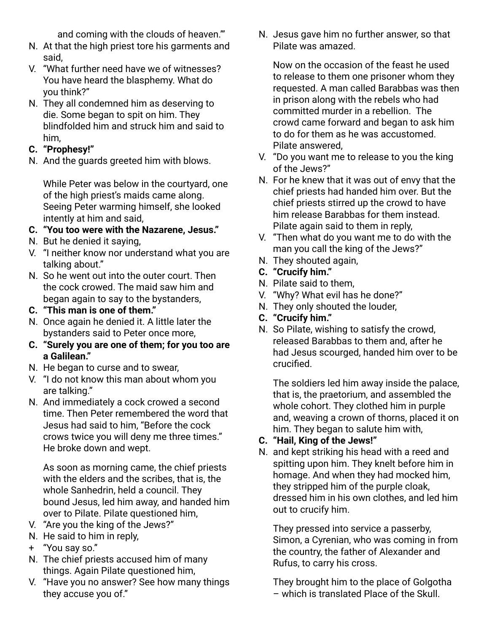and coming with the clouds of heaven.'"

- N. At that the high priest tore his garments and said,
- V. "What further need have we of witnesses? You have heard the blasphemy. What do you think?"
- N. They all condemned him as deserving to die. Some began to spit on him. They blindfolded him and struck him and said to him,

### **C. "Prophesy!"**

N. And the guards greeted him with blows.

While Peter was below in the courtyard, one of the high priest's maids came along. Seeing Peter warming himself, she looked intently at him and said,

- **C. "You too were with the Nazarene, Jesus."**
- N. But he denied it saying,
- V. "I neither know nor understand what you are talking about."
- N. So he went out into the outer court. Then the cock crowed. The maid saw him and began again to say to the bystanders,
- **C. "This man is one of them."**
- N. Once again he denied it. A little later the bystanders said to Peter once more,
- **C. "Surely you are one of them; for you too are a Galilean."**
- N. He began to curse and to swear,
- V. "I do not know this man about whom you are talking."
- N. And immediately a cock crowed a second time. Then Peter remembered the word that Jesus had said to him, "Before the cock crows twice you will deny me three times." He broke down and wept.

As soon as morning came, the chief priests with the elders and the scribes, that is, the whole Sanhedrin, held a council. They bound Jesus, led him away, and handed him over to Pilate. Pilate questioned him,

- V. "Are you the king of the Jews?"
- N. He said to him in reply,
- + "You say so."
- N. The chief priests accused him of many things. Again Pilate questioned him,
- V. "Have you no answer? See how many things they accuse you of."

N. Jesus gave him no further answer, so that Pilate was amazed.

Now on the occasion of the feast he used to release to them one prisoner whom they requested. A man called Barabbas was then in prison along with the rebels who had committed murder in a rebellion. The crowd came forward and began to ask him to do for them as he was accustomed. Pilate answered,

- V. "Do you want me to release to you the king of the Jews?"
- N. For he knew that it was out of envy that the chief priests had handed him over. But the chief priests stirred up the crowd to have him release Barabbas for them instead. Pilate again said to them in reply,
- V. "Then what do you want me to do with the man you call the king of the Jews?"
- N. They shouted again,

#### **C. "Crucify him."**

- N. Pilate said to them,
- V. "Why? What evil has he done?"
- N. They only shouted the louder,
- **C. "Crucify him."**
- N. So Pilate, wishing to satisfy the crowd, released Barabbas to them and, after he had Jesus scourged, handed him over to be crucified.

The soldiers led him away inside the palace, that is, the praetorium, and assembled the whole cohort. They clothed him in purple and, weaving a crown of thorns, placed it on him. They began to salute him with,

#### **C. "Hail, King of the Jews!"**

N. and kept striking his head with a reed and spitting upon him. They knelt before him in homage. And when they had mocked him, they stripped him of the purple cloak, dressed him in his own clothes, and led him out to crucify him.

They pressed into service a passerby, Simon, a Cyrenian, who was coming in from the country, the father of Alexander and Rufus, to carry his cross.

They brought him to the place of Golgotha – which is translated Place of the Skull.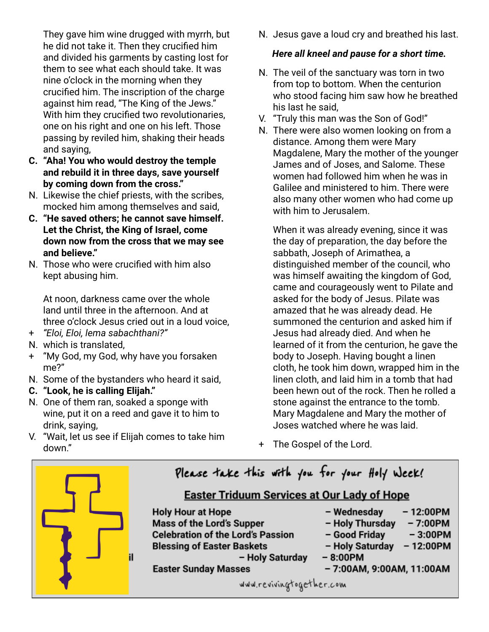They gave him wine drugged with myrrh, but he did not take it. Then they crucified him and divided his garments by casting lost for them to see what each should take. It was nine o'clock in the morning when they crucified him. The inscription of the charge against him read, "The King of the Jews." With him they crucified two revolutionaries, one on his right and one on his left. Those passing by reviled him, shaking their heads and saying,

- **C. "Aha! You who would destroy the temple and rebuild it in three days, save yourself by coming down from the cross."**
- N. Likewise the chief priests, with the scribes, mocked him among themselves and said,
- **C. "He saved others; he cannot save himself. Let the Christ, the King of Israel, come down now from the cross that we may see and believe."**
- N. Those who were crucified with him also kept abusing him.

At noon, darkness came over the whole land until three in the afternoon. And at three o'clock Jesus cried out in a loud voice,

- + *"Eloi, Eloi, lema sabachthani?"*
- N. which is translated,
- + "My God, my God, why have you forsaken me?"
- N. Some of the bystanders who heard it said,
- **C. "Look, he is calling Elijah."**
- N. One of them ran, soaked a sponge with wine, put it on a reed and gave it to him to drink, saying,
- V. "Wait, let us see if Elijah comes to take him down."

N. Jesus gave a loud cry and breathed his last.

#### *Here all kneel and pause for a short time.*

- N. The veil of the sanctuary was torn in two from top to bottom. When the centurion who stood facing him saw how he breathed his last he said,
- V. "Truly this man was the Son of God!"
- N. There were also women looking on from a distance. Among them were Mary Magdalene, Mary the mother of the younger James and of Joses, and Salome. These women had followed him when he was in Galilee and ministered to him. There were also many other women who had come up with him to Jerusalem.

When it was already evening, since it was the day of preparation, the day before the sabbath, Joseph of Arimathea, a distinguished member of the council, who was himself awaiting the kingdom of God, came and courageously went to Pilate and asked for the body of Jesus. Pilate was amazed that he was already dead. He summoned the centurion and asked him if Jesus had already died. And when he learned of it from the centurion, he gave the body to Joseph. Having bought a linen cloth, he took him down, wrapped him in the linen cloth, and laid him in a tomb that had been hewn out of the rock. Then he rolled a stone against the entrance to the tomb. Mary Magdalene and Mary the mother of Joses watched where he was laid.

+ The Gospel of the Lord.



# Please take this with you for your Holy Week!

#### **Easter Triduum Services at Our Lady of Hope**

**Holy Hour at Hope** Mass of the Lord's Supper **Celebration of the Lord's Passion Blessing of Easter Baskets** - Holy Saturday **Easter Sunday Masses** 

- Wednesday  $-12:00PM$ - Holy Thursday  $-7:00PM$
- Good Friday  $-3:00PM$
- Holy Saturday 12:00PM
- $-8:00PM$
- 7:00AM, 9:00AM, 11:00AM

www.revivingtogether.com